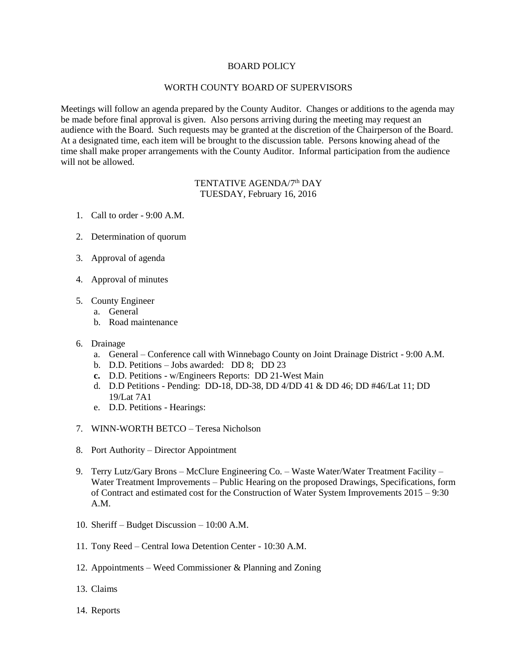## BOARD POLICY

## WORTH COUNTY BOARD OF SUPERVISORS

Meetings will follow an agenda prepared by the County Auditor. Changes or additions to the agenda may be made before final approval is given. Also persons arriving during the meeting may request an audience with the Board. Such requests may be granted at the discretion of the Chairperson of the Board. At a designated time, each item will be brought to the discussion table. Persons knowing ahead of the time shall make proper arrangements with the County Auditor. Informal participation from the audience will not be allowed.

## TENTATIVE AGENDA/7<sup>th</sup> DAY TUESDAY, February 16, 2016

- 1. Call to order 9:00 A.M.
- 2. Determination of quorum
- 3. Approval of agenda
- 4. Approval of minutes
- 5. County Engineer
	- a. General
	- b. Road maintenance
- 6. Drainage
	- a. General Conference call with Winnebago County on Joint Drainage District 9:00 A.M.
	- b. D.D. Petitions Jobs awarded: DD 8; DD 23
	- **c.** D.D. Petitions w/Engineers Reports: DD 21-West Main
	- d. D.D Petitions Pending: DD-18, DD-38, DD 4/DD 41 & DD 46; DD #46/Lat 11; DD 19/Lat 7A1
	- e. D.D. Petitions Hearings:
- 7. WINN-WORTH BETCO Teresa Nicholson
- 8. Port Authority Director Appointment
- 9. Terry Lutz/Gary Brons McClure Engineering Co. Waste Water/Water Treatment Facility Water Treatment Improvements – Public Hearing on the proposed Drawings, Specifications, form of Contract and estimated cost for the Construction of Water System Improvements 2015 – 9:30 A.M.
- 10. Sheriff Budget Discussion 10:00 A.M.
- 11. Tony Reed Central Iowa Detention Center 10:30 A.M.
- 12. Appointments Weed Commissioner & Planning and Zoning
- 13. Claims
- 14. Reports